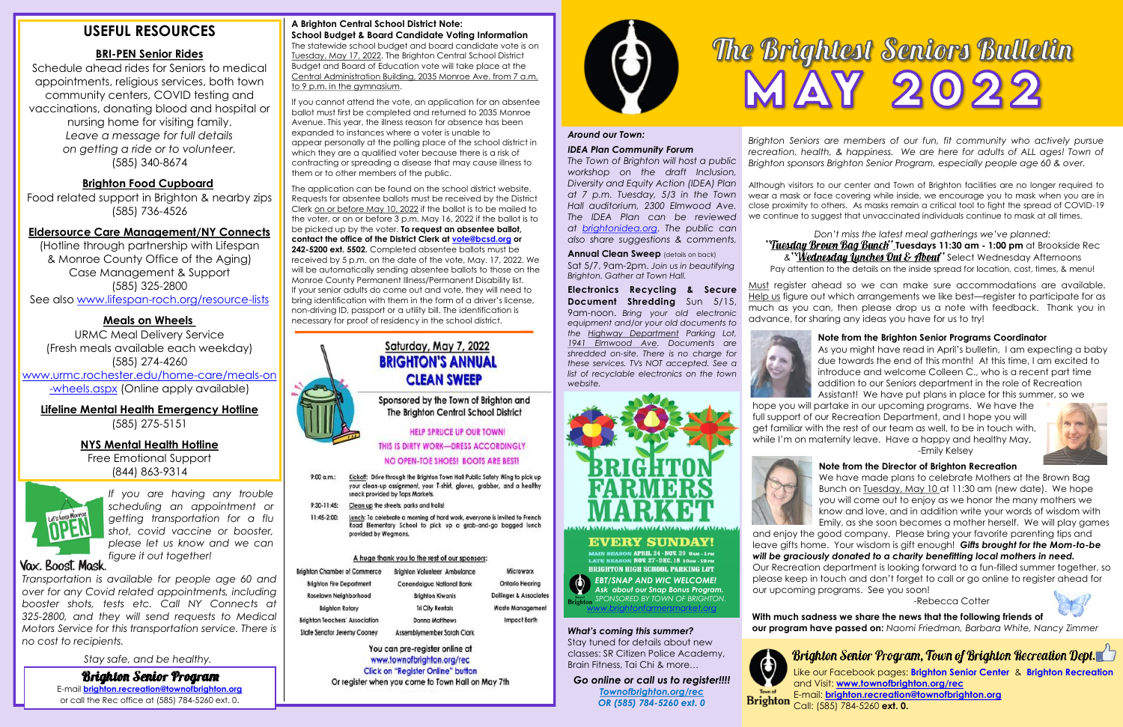# **USEFUL RESOURCES**

# **BRI-PEN Senior Rides**

Schedule ahead rides for Seniors to medical appointments, religious services, both town community centers, COVID testing and vaccinations, donating blood and hospital or nursing home for visiting family. *Leave a message for full details on getting a ride or to volunteer.* (585) 340-8674

# **Brighton Food Cupboard**

Food related support in Brighton & nearby zips (585) 736-4526

## **Eldersource Care Management/NY Connects**

(Hotline through partnership with Lifespan & Monroe County Office of the Aging) Case Management & Support (585) 325-2800 See also www.lifespan-roch.org/resource-lists

# **Meals on Wheels**

URMC Meal Delivery Service (Fresh meals available each weekday) (585) 274-4260 www.urmc.rochester.edu/home-care/meals-on -wheels.aspx (Online apply available)

# **Lifeline Mental Health Emergency Hotline**

(585) 275-5151

## **NYS Mental Health Hotline**

Free Emotional Support (844) 863-9314



*If you are having any trouble scheduling an appointment or getting transportation for a flu shot, covid vaccine or booster, please let us know and we can figure it out together!*

# Vax. Boost. Mask.

*Transportation is available for people age 60 and over for any Covid related appointments, including booster shots, tests etc. Call NY Connects at 325-2800, and they will send requests to Medical Motors Service for this transportation service. There is no cost to recipients.*

*Stay safe, and be healthy.*

#### **A Brighton Central School District Note: School Budget & Board Candidate Voting Information**

**Brighton Senior Program** E-mail **brighton.recreation@townofbrighton.org**  or call the Rec office at (585) 784-5260 ext. 0.

The statewide school budget and board candidate vote is on Tuesday, May 17, 2022. The Brighton Central School District Budget and Board of Education vote will take place at the Central Administration Building, 2035 Monroe Ave. from 7 a.m. to 9 p.m. in the gymnasium.

If you cannot attend the vote, an application for an absentee ballot must first be completed and returned to 2035 Monroe Avenue. This year, the illness reason for absence has been expanded to instances where a voter is unable to appear personally at the polling place of the school district in which they are a qualified voter because there is a risk of contracting or spreading a disease that may cause illness to them or to other members of the public.

The application can be found on the school district website. Requests for absentee ballots must be received by the District Clerk on or before May 10, 2022 if the ballot is to be mailed to the voter, or on or before 3 p.m. May 16, 2022 if the ballot is to be picked up by the voter. **To request an absentee ballot, contact the office of the District Clerk at vote@bcsd.org or 242-5200 ext. 5502.** Completed absentee ballots must be received by 5 p.m. on the date of the vote, May. 17, 2022. We will be automatically sending absentee ballots to those on the Monroe County Permanent Illness/Permanent Disability list. If your senior adults do come out and vote, they will need to bring identification with them in the form of a driver's license, non-driving ID, passport or a utility bill. The identification is necessary for proof of residency in the school district.

# Saturday, May 7, 2022 **BRIGHTON'S ANNUAL CLEAN SWEEP**

Sponsored by the Town of Brighton and The Brighton Central School District

### **HELP SPRUCE UP OUR TOWN!**

THIS IS DIRTY WORK-DRESS ACCORDINGLY

### NO OPEN-TOE SHOES! BOOTS ARE BEST!

- $9:00$  a.m.: Kickoff: Drive through the Brighton Town Hall Public Safety Wing to pick up your clean-up assignment, your T-shirt, gloves, grabber, and a healthy snack provided by Tops Markets.
- 9:30-11:45: Clean up the streets, parks and trails!
- Lunch: To celebrate a morning of hard work, everyone is invited to French 11:45-2:00: Road Elementary School to pick up a grab-and-go bagged lunch provided by Wegmans.

#### A huge thank you to the rest of our sponsors:

| <b>Brighton Chamber of Commerce</b>   | <b>Brighton Volunteer Ambulance</b> | Microworx                         |  |
|---------------------------------------|-------------------------------------|-----------------------------------|--|
| <b>Brighton Fire Department</b>       | Canandaigua National Bank           | Ontario Hearing                   |  |
| Roselawn Neighborhood                 | <b>Brighton Kiwanis</b>             | <b>Dollinger &amp; Associates</b> |  |
| <b>Brighton Rotary</b>                | <b>Tri City Rentals</b>             | Waste Management                  |  |
| <b>Brighton Teachers' Association</b> | <b>Donna Matthews</b>               | <b>Impact Earth</b>               |  |
| State Senator Jeremy Cooney           | Assemblymember Sarah Clark          |                                   |  |

You can pre-register online at www.townofbrighton.org/rec **Click on "Register Online" button** Or register when you come to Town Hall on May 7th



# *Around our Town:*

#### *IDEA Plan Community Forum*

*The Town of Brighton will host a public workshop on the draft Inclusion, Diversity and Equity Action (IDEA) Plan at 7 p.m. Tuesday, 5/3 in the Town Hall auditorium, 2300 Elmwood Ave. The IDEA Plan can be reviewed at brightonidea.org. The public can also share suggestions & comments.*

**Annual Clean Sweep** (details on back) Sat 5/7, 9am-2pm. *Join us in beautifying Brighton. Gather at Town Hall.*

**Electronics Recycling & Secure Document Shredding** Sun 5/15, 9am-noon. *Bring your old electronic equipment and/or your old documents to the Highway Department Parking Lot, 1941 Elmwood Ave. Documents are shredded on-site. There is no charge for these services. TVs NOT accepted. See a list of recyclable electronics on the town website.*



# **EVERY SUNDAY!**

MAIN SEASON APRIL 24 - NOV. 20 BAM - 1 PM LATE SEASON NOV. 27-DEC. 18 10AM - 12 PM **BRIGHTON HIGH SCHOOL PARKING LOT** *EBT/SNAP AND WIC WELCOME! Ask about our Snap Bonus Program. SPONSORED BY TOWN OF BRIGHTON.* 

*What's coming this summer?* Stay tuned for details about new classes: SR Citizen Police Academy, Brain Fitness, Tai Chi & more…

*Go online or call us to register!!!! Townofbrighton.org/rec OR (585) 784-5260 ext. 0*

*Brighton Seniors are members of our fun, fit community who actively pursue recreation, health, & happiness. We are here for adults of ALL ages! Town of Brighton sponsors Brighton Senior Program, especially people age 60 & over.* 

Although visitors to our center and Town of Brighton facilities are no longer required to wear a mask or face covering while inside, we encourage you to mask when you are in close proximity to others. As masks remain a critical tool to fight the spread of COVID-19 we continue to suggest that unvaccinated individuals continue to mask at all times.

*Don't miss the latest meal gatherings we've planned:* **"Tuesday Brown Bag Bunch" Ivesdays 11:30 am - 1:00 pm** at Brookside Rec  $x^{\prime\prime}$  *Wednesday Lunches Out & About"* Select Wednesday Afternoons Pay attention to the details on the inside spread for location, cost, times, & menu!

Must register ahead so we can make sure accommodations are available. Help us figure out which arrangements we like best—register to participate for as much as you can, then please drop us a note with feedback. Thank you in advance, for sharing any ideas you have for us to try!



#### **Note from the Brighton Senior Programs Coordinator**

As you might have read in April's bulletin, I am expecting a baby due towards the end of this month! At this time, I am excited to introduce and welcome Colleen C., who is a recent part time addition to our Seniors department in the role of Recreation Assistant! We have put plans in place for this summer, so we hope you will partake in our upcoming programs. We have the full support of our Recreation Department, and I hope you will get familiar with the rest of our team as well, to be in touch with, while I'm on maternity leave. Have a happy and healthy May, -Emily Kelsey



#### **Note from the Director of Brighton Recreation**

We have made plans to celebrate Mothers at the Brown Bag Bunch on Tuesday, May 10 at 11:30 am (new date). We hope you will come out to enjoy as we honor the many mothers we know and love, and in addition write your words of wisdom with Emily, as she soon becomes a mother herself. We will play games and enjoy the good company. Please bring your favorite parenting tips and leave gifts home. Your wisdom is gift enough! *Gifts brought for the Mom-to-be will be graciously donated to a charity benefitting local mothers in need.* Our Recreation department is looking forward to a fun-filled summer together, so please keep in touch and don't forget to call or go online to register ahead for our upcoming programs. See you soon!





-Rebecca Cotter

**With much sadness we share the news that the following friends of our program have passed on:** *Naomi Friedman, Barbara White, Nancy Zimmer*

# Brighton Senior Program, Town of Brighton Recreation Dept.

Like our Facebook pages: **Brighton Senior Center** & **Brighton Recreation** and Visit: **[www.townofbrighton.org/rec](http://www.townofbrighton.org/recreation)** E-mail: **brighton.recreation@townofbrighton.org** Call: (585) 784-5260 **ext. 0.**

*www.brightonfarmersmarket.org*